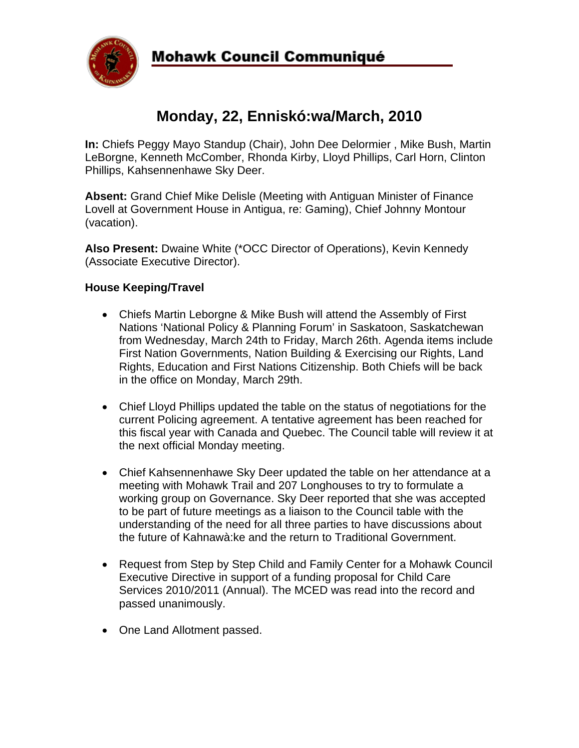

# **Monday, 22, Enniskó:wa/March, 2010**

**In:** Chiefs Peggy Mayo Standup (Chair), John Dee Delormier , Mike Bush, Martin LeBorgne, Kenneth McComber, Rhonda Kirby, Lloyd Phillips, Carl Horn, Clinton Phillips, Kahsennenhawe Sky Deer.

**Absent:** Grand Chief Mike Delisle (Meeting with Antiguan Minister of Finance Lovell at Government House in Antigua, re: Gaming), Chief Johnny Montour (vacation).

**Also Present:** Dwaine White (\*OCC Director of Operations), Kevin Kennedy (Associate Executive Director).

# **House Keeping/Travel**

- Chiefs Martin Leborgne & Mike Bush will attend the Assembly of First Nations 'National Policy & Planning Forum' in Saskatoon, Saskatchewan from Wednesday, March 24th to Friday, March 26th. Agenda items include First Nation Governments, Nation Building & Exercising our Rights, Land Rights, Education and First Nations Citizenship. Both Chiefs will be back in the office on Monday, March 29th.
- Chief Lloyd Phillips updated the table on the status of negotiations for the current Policing agreement. A tentative agreement has been reached for this fiscal year with Canada and Quebec. The Council table will review it at the next official Monday meeting.
- Chief Kahsennenhawe Sky Deer updated the table on her attendance at a meeting with Mohawk Trail and 207 Longhouses to try to formulate a working group on Governance. Sky Deer reported that she was accepted to be part of future meetings as a liaison to the Council table with the understanding of the need for all three parties to have discussions about the future of Kahnawà:ke and the return to Traditional Government.
- Request from Step by Step Child and Family Center for a Mohawk Council Executive Directive in support of a funding proposal for Child Care Services 2010/2011 (Annual). The MCED was read into the record and passed unanimously.
- One Land Allotment passed.